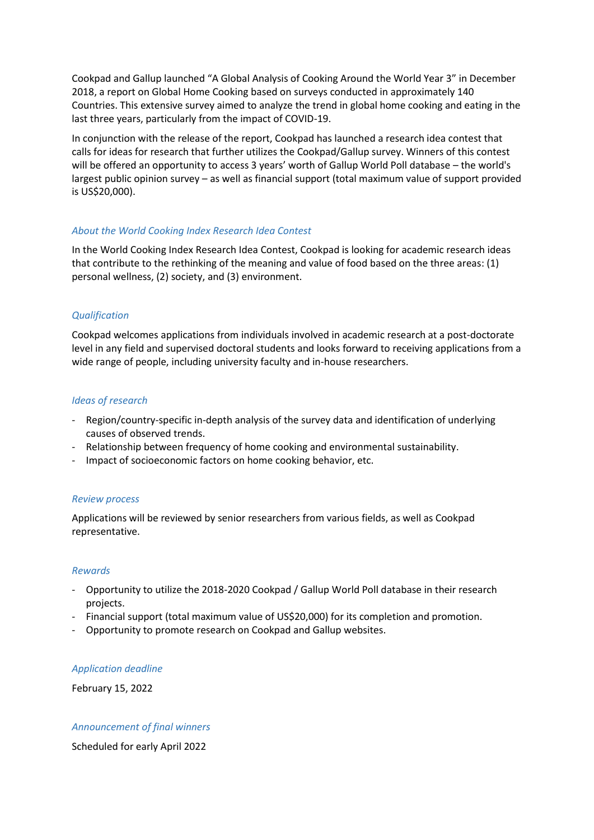Cookpad and Gallup launched "A Global Analysis of Cooking Around the World Year 3" in December 2018, a report on Global Home Cooking based on surveys conducted in approximately 140 Countries. This extensive survey aimed to analyze the trend in global home cooking and eating in the last three years, particularly from the impact of COVID-19.

In conjunction with the release of the report, Cookpad has launched a research idea contest that calls for ideas for research that further utilizes the Cookpad/Gallup survey. Winners of this contest will be offered an opportunity to access 3 years' worth of Gallup World Poll database – the world's largest public opinion survey – as well as financial support (total maximum value of support provided is US\$20,000).

#### *About the World Cooking Index Research Idea Contest*

In the World Cooking Index Research Idea Contest, Cookpad is looking for academic research ideas that contribute to the rethinking of the meaning and value of food based on the three areas: (1) personal wellness, (2) society, and (3) environment.

## *Qualification*

Cookpad welcomes applications from individuals involved in academic research at a post-doctorate level in any field and supervised doctoral students and looks forward to receiving applications from a wide range of people, including university faculty and in-house researchers.

#### *Ideas of research*

- Region/country-specific in-depth analysis of the survey data and identification of underlying causes of observed trends.
- Relationship between frequency of home cooking and environmental sustainability.
- Impact of socioeconomic factors on home cooking behavior, etc.

## *Review process*

Applications will be reviewed by senior researchers from various fields, as well as Cookpad representative.

#### *Rewards*

- Opportunity to utilize the 2018-2020 Cookpad / Gallup World Poll database in their research projects.
- Financial support (total maximum value of US\$20,000) for its completion and promotion.
- Opportunity to promote research on Cookpad and Gallup websites.

#### *Application deadline*

February 15, 2022

#### *Announcement of final winners*

Scheduled for early April 2022